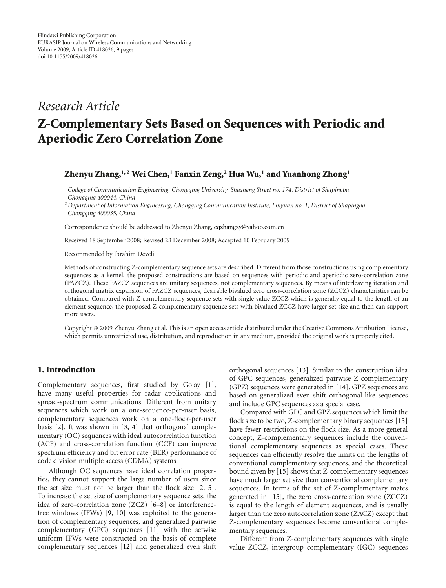## *Research Article*

# **Z-Complementary Sets Based on Sequences with Periodic and Aperiodic Zero Correlation Zone**

## **Zhenyu Zhang,1, 2 Wei Chen,1 Fanxin Zeng,2 Hua Wu,1 and Yuanhong Zhong1**

*1College of Communication Engineering, Chongqing University, Shazheng Street no. 174, District of Shapingba, Chongqing 400044, China*

*2Department of Information Engineering, Chongqing Communication Institute, Linyuan no. 1, District of Shapingba, Chongqing 400035, China*

Correspondence should be addressed to Zhenyu Zhang, cqzhangzy@yahoo.com.cn

Received 18 September 2008; Revised 23 December 2008; Accepted 10 February 2009

Recommended by Ibrahim Develi

Methods of constructing Z-complementary sequence sets are described. Different from those constructions using complementary sequences as a kernel, the proposed constructions are based on sequences with periodic and aperiodic zero-correlation zone (PAZCZ). These PAZCZ sequences are unitary sequences, not complementary sequences. By means of interleaving iteration and orthogonal matrix expansion of PAZCZ sequences, desirable bivalued zero cross-correlation zone (ZCCZ) characteristics can be obtained. Compared with Z-complementary sequence sets with single value ZCCZ which is generally equal to the length of an element sequence, the proposed Z-complementary sequence sets with bivalued ZCCZ have larger set size and then can support more users.

Copyright © 2009 Zhenyu Zhang et al. This is an open access article distributed under the Creative Commons Attribution License, which permits unrestricted use, distribution, and reproduction in any medium, provided the original work is properly cited.

## **1. Introduction**

Complementary sequences, first studied by Golay [1], have many useful properties for radar applications and spread-spectrum communications. Different from unitary sequences which work on a one-sequence-per-user basis, complementary sequences work on a one-flock-per-user basis [2]. It was shown in [3, 4] that orthogonal complementary (OC) sequences with ideal autocorrelation function (ACF) and cross-correlation function (CCF) can improve spectrum efficiency and bit error rate (BER) performance of code division multiple access (CDMA) systems.

Although OC sequences have ideal correlation properties, they cannot support the large number of users since the set size must not be larger than the flock size [2, 5]. To increase the set size of complementary sequence sets, the idea of zero-correlation zone (ZCZ) [6–8] or interferencefree windows (IFWs) [9, 10] was exploited to the generation of complementary sequences, and generalized pairwise complementary (GPC) sequences [11] with the setwise uniform IFWs were constructed on the basis of complete complementary sequences [12] and generalized even shift

orthogonal sequences [13]. Similar to the construction idea of GPC sequences, generalized pairwise Z-complementary (GPZ) sequences were generated in [14]. GPZ sequences are based on generalized even shift orthogonal-like sequences and include GPC sequences as a special case.

Compared with GPC and GPZ sequences which limit the flock size to be two, Z-complementary binary sequences [15] have fewer restrictions on the flock size. As a more general concept, Z-complementary sequences include the conventional complementary sequences as special cases. These sequences can efficiently resolve the limits on the lengths of conventional complementary sequences, and the theoretical bound given by [15] shows that Z-complementary sequences have much larger set size than conventional complementary sequences. In terms of the set of Z-complementary mates generated in [15], the zero cross-correlation zone (ZCCZ) is equal to the length of element sequences, and is usually larger than the zero autocorrelation zone (ZACZ) except that Z-complementary sequences become conventional complementary sequences.

Different from Z-complementary sequences with single value ZCCZ, intergroup complementary (IGC) sequences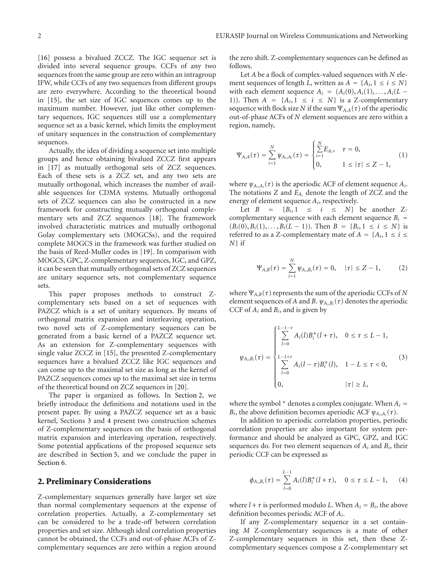[16] possess a bivalued ZCCZ. The IGC sequence set is divided into several sequence groups. CCFs of any two sequences from the same group are zero within an intragroup IFW, while CCFs of any two sequences from different groups are zero everywhere. According to the theoretical bound in [15], the set size of IGC sequences comes up to the maximum number. However, just like other complementary sequences, IGC sequences still use a complementary sequence set as a basic kernel, which limits the employment of unitary sequences in the construction of complementary sequences.

Actually, the idea of dividing a sequence set into multiple groups and hence obtaining bivalued ZCCZ first appears in [17] as mutually orthogonal sets of ZCZ sequences. Each of these sets is a ZCZ set, and any two sets are mutually orthogonal, which increases the number of available sequences for CDMA systems. Mutually orthogonal sets of ZCZ sequences can also be constructed in a new framework for constructing mutually orthogonal complementary sets and ZCZ sequences [18]. The framework involved characteristic matrices and mutually orthogonal Golay complementary sets (MOGCSs), and the required complete MOGCS in the framework was further studied on the basis of Reed-Muller codes in [19]. In comparison with MOGCS, GPC, Z-complementary sequences, IGC, and GPZ, it can be seen that mutually orthogonal sets of ZCZ sequences are unitary sequence sets, not complementary sequence sets.

This paper proposes methods to construct Zcomplementary sets based on a set of sequences with PAZCZ which is a set of unitary sequences. By means of orthogonal matrix expansion and interleaving operation, two novel sets of Z-complementary sequences can be generated from a basic kernel of a PAZCZ sequence set. As an extension for Z-complementary sequences with single value ZCCZ in [15], the presented Z-complementary sequences have a bivalued ZCCZ like IGC sequences and can come up to the maximal set size as long as the kernel of PAZCZ sequences comes up to the maximal set size in terms of the theoretical bound on ZCZ sequences in [20].

The paper is organized as follows. In Section 2, we briefly introduce the definitions and notations used in the present paper. By using a PAZCZ sequence set as a basic kernel, Sections 3 and 4 present two construction schemes of Z-complementary sequences on the basis of orthogonal matrix expansion and interleaving operation, respectively. Some potential applications of the proposed sequence sets are described in Section 5, and we conclude the paper in Section 6.

## **2. Preliminary Considerations**

Z-complementary sequences generally have larger set size than normal complementary sequences at the expense of correlation properties. Actually, a Z-complementary set can be considered to be a trade-off between correlation properties and set size. Although ideal correlation properties cannot be obtained, the CCFs and out-of-phase ACFs of Zcomplementary sequences are zero within a region around

the zero shift. Z-complementary sequences can be defined as follows.

Let *A* be a flock of complex-valued sequences with *N* element sequences of length *L*, written as  $A = \{A_i, 1 \le i \le N\}$ with each element sequence  $A_i = (A_i(0), A_i(1), \ldots, A_i(L))$ 1)). Then  $A = \{A_i, 1 \le i \le N\}$  is a Z-complementary sequence with flock size *N* if the sum  $\Psi_{A,A}(\tau)$  of the aperiodic out-of-phase ACFs of *N* element sequences are zero within a region, namely,

$$
\Psi_{A,A}(\tau) = \sum_{i=1}^{N} \psi_{A_i, A_i}(\tau) = \begin{cases} \sum_{i=1}^{N} E_{A_i}, & \tau = 0, \\ 0, & 1 \le |\tau| \le Z - 1, \end{cases}
$$
 (1)

where  $\psi_{A_i, A_i}(\tau)$  is the aperiodic ACF of element sequence  $A_i$ . The notations *Z* and *EAi* denote the length of ZCZ and the energy of element sequence *Ai*, respectively.

Let  $B = {B_i, 1 \le i \le N}$  be another Zcomplementary sequence with each element sequence  $B_i$  =  $(B_i(0), B_i(1), \ldots, B_i(L-1))$ . Then  $B = \{B_i, 1 \le i \le N\}$  is referred to as a Z-complementary mate of  $A = \{A_i, 1 \le i \le n\}$ *N*} if

$$
\Psi_{A,B}(\tau) = \sum_{i=1}^{N} \psi_{A_i, B_i}(\tau) = 0, \quad |\tau| \le Z - 1,
$$
 (2)

where Ψ*A*,*B*(*τ*) represents the sum of the aperiodic CCFs of *N* element sequences of *A* and *B*.  $\psi_{A_i, B_i}(\tau)$  denotes the aperiodic CCF of *Ai* and *Bi*, and is given by

$$
\psi_{A_i, B_i}(\tau) = \begin{cases}\n\sum_{l=0}^{L-1-\tau} A_i(l) B_i^*(l+\tau), & 0 \le \tau \le L-1, \\
\sum_{l=0}^{L-1+\tau} A_i(l-\tau) B_i^*(l), & 1-L \le \tau < 0, \\
0, & |\tau| \ge L,\n\end{cases} \tag{3}
$$

where the symbol  $*$  denotes a complex conjugate. When  $A_i =$ *B<sub>i</sub>*, the above definition becomes aperiodic ACF  $\psi_{A_i, A_i}(\tau)$ .

In addition to aperiodic correlation properties, periodic correlation properties are also important for system performance and should be analyzed as GPC, GPZ, and IGC sequences do. For two element sequences of *Ai* and *Bi*, their periodic CCF can be expressed as

$$
\phi_{A_i, B_i}(\tau) = \sum_{l=0}^{L-1} A_i(l) B_i^*(l+\tau), \quad 0 \le \tau \le L-1,
$$
 (4)

where  $l + \tau$  is performed modulo *L*. When  $A_i = B_i$ , the above definition becomes periodic ACF of *Ai*.

If any Z-complementary sequence in a set containing *M* Z-complementary sequences is a mate of other Z-complementary sequences in this set, then these Zcomplementary sequences compose a Z-complementary set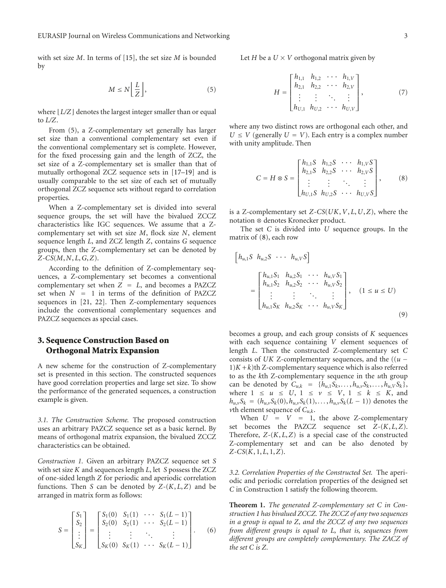with set size *M*. In terms of [15], the set size *M* is bounded by

$$
M \le N \left\lfloor \frac{L}{Z} \right\rfloor,\tag{5}
$$

where  $|L/Z|$  denotes the largest integer smaller than or equal to *L/Z*.

From (5), a Z-complementary set generally has larger set size than a conventional complementary set even if the conventional complementary set is complete. However, for the fixed processing gain and the length of ZCZ, the set size of a Z-complementary set is smaller than that of mutually orthogonal ZCZ sequence sets in [17–19] and is usually comparable to the set size of each set of mutually orthogonal ZCZ sequence sets without regard to correlation properties.

When a Z-complementary set is divided into several sequence groups, the set will have the bivalued ZCCZ characteristics like IGC sequences. We assume that a Zcomplementary set with set size *M*, flock size *N*, element sequence length *L*, and ZCZ length *Z*, contains *G* sequence groups, then the Z-complementary set can be denoted by *Z*-*CS*(*M*, *N*, *L*,*G*, *Z*).

According to the definition of Z-complementary sequences, a Z-complementary set becomes a conventional complementary set when  $Z = L$ , and becomes a PAZCZ set when  $N = 1$  in terms of the definition of PAZCZ sequences in [21, 22]. Then Z-complementary sequences include the conventional complementary sequences and PAZCZ sequences as special cases.

## **3. Sequence Construction Based on Orthogonal Matrix Expansion**

A new scheme for the construction of Z-complementary set is presented in this section. The constructed sequences have good correlation properties and large set size. To show the performance of the generated sequences, a construction example is given.

*3.1. The Construction Scheme.* The proposed construction uses an arbitrary PAZCZ sequence set as a basic kernel. By means of orthogonal matrix expansion, the bivalued ZCCZ characteristics can be obtained.

*Construction 1.* Given an arbitrary PAZCZ sequence set *S* with set size *K* and sequences length *L*, let *S* possess the ZCZ of one-sided length *Z* for periodic and aperiodic correlation functions. Then *S* can be denoted by  $Z-(K, L, Z)$  and be arranged in matrix form as follows:

$$
S = \begin{bmatrix} S_1 \\ S_2 \\ \vdots \\ S_K \end{bmatrix} = \begin{bmatrix} S_1(0) & S_1(1) & \cdots & S_1(L-1) \\ S_2(0) & S_2(1) & \cdots & S_2(L-1) \\ \vdots & \vdots & \ddots & \vdots \\ S_K(0) & S_K(1) & \cdots & S_K(L-1) \end{bmatrix} .
$$
 (6)

Let *H* be a  $U \times V$  orthogonal matrix given by

$$
H = \begin{bmatrix} h_{1,1} & h_{1,2} & \cdots & h_{1,V} \\ h_{2,1} & h_{2,2} & \cdots & h_{2,V} \\ \vdots & \vdots & \ddots & \vdots \\ h_{U,1} & h_{U,2} & \cdots & h_{U,V} \end{bmatrix}, \qquad (7)
$$

where any two distinct rows are orthogonal each other, and  $U \leq V$  (generally  $U = V$ ). Each entry is a complex number with unity amplitude. Then

$$
C = H \otimes S = \begin{bmatrix} h_{1,1}S & h_{1,2}S & \cdots & h_{1,V}S \\ h_{2,1}S & h_{2,2}S & \cdots & h_{2,V}S \\ \vdots & \vdots & \ddots & \vdots \\ h_{U,1}S & h_{U,2}S & \cdots & h_{U,V}S \end{bmatrix},
$$
 (8)

is a Z-complementary set *Z*-*CS*(*UK*,*V*, *L*, *U*, *Z*), where the notation ⊗ denotes Kronecker product.

The set *C* is divided into *U* sequence groups. In the matrix of (8), each row

$$
\begin{bmatrix} h_{u,1}S & h_{u,2}S & \cdots & h_{u,V}S \end{bmatrix}
$$
  
= 
$$
\begin{bmatrix} h_{u,1}S_1 & h_{u,2}S_1 & \cdots & h_{u,V}S_1 \\ h_{u,1}S_2 & h_{u,2}S_2 & \cdots & h_{u,V}S_2 \\ \vdots & \vdots & \ddots & \vdots \\ h_{u,1}S_K & h_{u,2}S_K & \cdots & h_{u,V}S_K \end{bmatrix}, \quad (1 \le u \le U)
$$
  
(9)

becomes a group, and each group consists of *K* sequences with each sequence containing *V* element sequences of length *L*. Then the constructed Z-complementary set *C* consists of *UK* Z-complementary sequences, and the ((*u* −  $1$ ) $K + k$ )th *Z*-complementary sequence which is also referred to as the *k*th Z-complementary sequence in the *u*th group can be denoted by  $C_{u,k} = \{h_{u,1}S_k, \ldots, h_{u,v}S_k, \ldots, h_{u,v}S_k\},\}$ where  $1 \le u \le U$ ,  $1 \le v \le V$ ,  $1 \le k \le K$ , and  $h_{u,v}S_k = (h_{u,v}S_k(0), h_{u,v}S_k(1), \ldots, h_{u,v}S_k(L-1))$  denotes the *v*th element sequence of *Cu*,*k*.

When  $U = V = 1$ , the above Z-complementary set becomes the PAZCZ sequence set *Z*-(*K*, *L*, *Z*). Therefore,  $Z-(K, L, Z)$  is a special case of the constructed Z-complementary set and can be also denoted by *Z*-*CS*(*K*, 1, *L*, 1, *Z*).

*3.2. Correlation Properties of the Constructed Set.* The aperiodic and periodic correlation properties of the designed set *C* in Construction 1 satisfy the following theorem.

**Theorem 1.** *The generated Z-complementary set C in Construction 1 has bivalued ZCCZ. The ZCCZ of any two sequences in a group is equal to Z, and the ZCCZ of any two sequences from different groups is equal to L, that is, sequences from different groups are completely complementary. The ZACZ of*  $the set C is Z$ .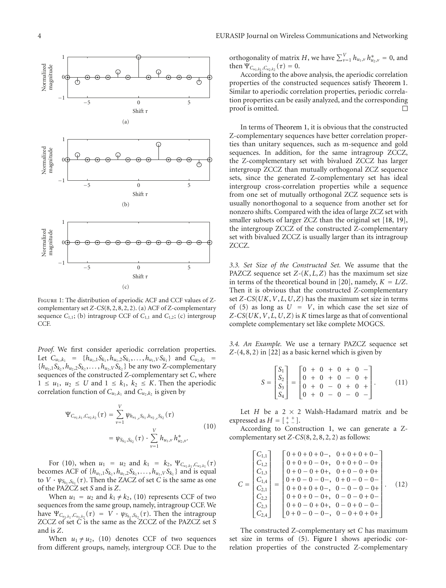

Figure 1: The distribution of aperiodic ACF and CCF values of Zcomplementary set *Z*-*CS*(8, 2, 8, 2, 2). (a) ACF of Z-complementary sequence  $C_{1,1}$ ; (b) intragroup CCF of  $C_{1,1}$  and  $C_{1,2}$ ; (c) intergroup CCF.

*Proof.* We first consider aperiodic correlation properties. Let  $C_{u_1,k_1} = \{h_{u_1,1}S_{k_1}, h_{u_1,2}S_{k_1}, \ldots, h_{u_1,V}S_{k_1}\}\$  and  $C_{u_2,k_2}$  ${h_{u_2,1}S_{k_2}, h_{u_2,2}S_{k_2}, \ldots, h_{u_2,V}S_{k_2}}$  be any two Z-complementary sequences of the constructed Z-complementary set *C*, where  $1 \leq u_1, u_2 \leq U$  and  $1 \leq k_1, k_2 \leq K$ . Then the aperiodic correlation function of  $C_{u_1,k_1}$  and  $C_{u_2,k_2}$  is given by

$$
\Psi_{C_{u_1,k_1},C_{u_2,k_2}}(\tau) = \sum_{\nu=1}^{V} \psi_{h_{u_1,\nu}S_{k_1},h_{u_2,\nu}S_{k_2}}(\tau)
$$
\n
$$
= \psi_{S_{k_1},S_{k_2}}(\tau) \cdot \sum_{\nu=1}^{V} h_{u_1,\nu} h_{u_2,\nu}^*,
$$
\n(10)

For (10), when  $u_1 = u_2$  and  $k_1 = k_2$ ,  $\Psi_{C_{u_1,k_1},C_{u_1,k_1}}(\tau)$ becomes ACF of  $\{h_{u_1,1}S_{k_1}, h_{u_1,2}S_{k_1}, \ldots, h_{u_1,V}S_{k_1}\}\$  and is equal to  $V \cdot \psi_{S_{k_1}, S_{k_1}}(\tau)$ . Then the ZACZ of set *C* is the same as one of the PAZCZ set *S* and is *Z*.

When  $u_1 = u_2$  and  $k_1 \neq k_2$ , (10) represents CCF of two sequences from the same group, namely, intragroup CCF. We have  $\Psi_{C_{u_1,k_1},C_{u_1,k_2}}(\tau) = V \cdot \psi_{S_{k_1},S_{k_2}}(\tau)$ . Then the intragroup ZCCZ of set *C* is the same as the ZCCZ of the PAZCZ set *S* and is *Z*.

When  $u_1 \neq u_2$ , (10) denotes CCF of two sequences from different groups, namely, intergroup CCF. Due to the

orthogonality of matrix *H*, we have  $\sum_{\nu=1}^{V} h_{u_1,\nu} h_{u_2,\nu}^* = 0$ , and then  $\Psi_{C_{u_1,k_1},C_{u_2,k_2}}(\tau)=0.$ 

According to the above analysis, the aperiodic correlation properties of the constructed sequences satisfy Theorem 1. Similar to aperiodic correlation properties, periodic correlation properties can be easily analyzed, and the corresponding proof is omitted.  $\Box$ 

In terms of Theorem 1, it is obvious that the constructed Z-complementary sequences have better correlation properties than unitary sequences, such as m-sequence and gold sequences. In addition, for the same intragroup ZCCZ, the Z-complementary set with bivalued ZCCZ has larger intergroup ZCCZ than mutually orthogonal ZCZ sequence sets, since the generated Z-complementary set has ideal intergroup cross-correlation properties while a sequence from one set of mutually orthogonal ZCZ sequence sets is usually nonorthogonal to a sequence from another set for nonzero shifts. Compared with the idea of large ZCZ set with smaller subsets of larger ZCZ than the original set [18, 19], the intergroup ZCCZ of the constructed Z-complementary set with bivalued ZCCZ is usually larger than its intragroup ZCCZ.

*3.3. Set Size of the Constructed Set.* We assume that the PAZCZ sequence set  $Z-(K, L, Z)$  has the maximum set size in terms of the theoretical bound in [20], namely,  $K = L/Z$ . Then it is obvious that the constructed Z-complementary set *Z*-*CS*(*UK*,*V*, *L*, *U*, *Z*) has the maximum set size in terms of (5) as long as  $U = V$ , in which case the set size of *Z*-*CS*(*UK*,*V*, *L*, *U*, *Z*) is *K* times large as that of conventional complete complementary set like complete MOGCS.

*3.4. An Example.* We use a ternary PAZCZ sequence set *Z*-(4, 8, 2) in [22] as a basic kernel which is given by

$$
S = \begin{bmatrix} S_1 \\ S_2 \\ S_3 \\ S_4 \end{bmatrix} = \begin{bmatrix} 0 & + & 0 & + & 0 & - \\ 0 & + & 0 & + & 0 & - \\ 0 & + & 0 & - & 0 & + \\ 0 & + & 0 & - & 0 & + & 0 \\ 0 & + & 0 & - & 0 & - & 0 & - \end{bmatrix} . \tag{11}
$$

Let *H* be a  $2 \times 2$  Walsh-Hadamard matrix and be expressed as  $H = [\begin{array}{cc} + & + \\ + & - \end{array}]$ .

According to Construction 1, we can generate a Zcomplementary set *Z*-*CS*(8, 2, 8, 2, 2) as follows:

$$
C = \begin{bmatrix} C_{1,1} \\ C_{1,2} \\ C_{1,3} \\ C_{1,4} \\ C_{2,1} \\ C_{2,2} \\ C_{2,3} \\ C_{2,4} \end{bmatrix} = \begin{bmatrix} 0+0+0+0-, & 0+0+0+0- \\ 0+0+0-0+, & 0+0+0-0+ \\ 0+0-0+0+, & 0+0-0+0+ \\ 0+0-0-0-, & 0+0-0-0-0- \\ 0+0+0+0-, & 0-0-0+0+0- \\ 0+0-0+0+, & 0-0+0-0-0- \\ 0+0-0+0+, & 0-0+0+0+ \end{bmatrix} . \quad (12)
$$

The constructed Z-complementary set *C* has maximum set size in terms of (5). Figure 1 shows aperiodic correlation properties of the constructed Z-complementary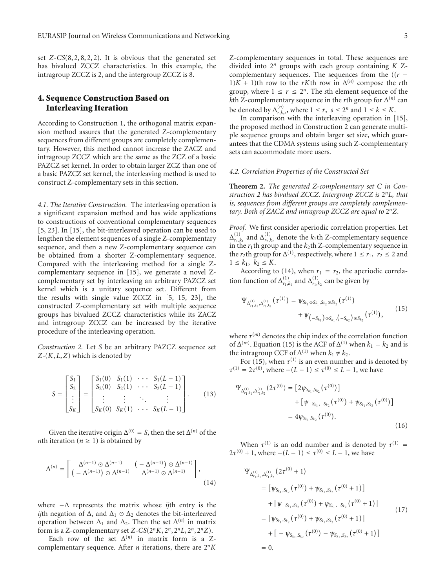set *Z*-*CS*(8, 2, 8, 2, 2). It is obvious that the generated set has bivalued ZCCZ characteristics. In this example, the intragroup ZCCZ is 2, and the intergroup ZCCZ is 8.

## **4. Sequence Construction Based on Interleaving Iteration**

According to Construction 1, the orthogonal matrix expansion method assures that the generated Z-complementary sequences from different groups are completely complementary. However, this method cannot increase the ZACZ and intragroup ZCCZ which are the same as the ZCZ of a basic PAZCZ set kernel. In order to obtain larger ZCZ than one of a basic PAZCZ set kernel, the interleaving method is used to construct Z-complementary sets in this section.

*4.1. The Iterative Construction.* The interleaving operation is a significant expansion method and has wide applications to constructions of conventional complementary sequences [5, 23]. In [15], the bit-interleaved operation can be used to lengthen the element sequences of a single Z-complementary sequence, and then a new Z-complementary sequence can be obtained from a shorter Z-complementary sequence. Compared with the interleaving method for a single Zcomplementary sequence in [15], we generate a novel Zcomplementary set by interleaving an arbitrary PAZCZ set kernel which is a unitary sequence set. Different from the results with single value ZCCZ in [5, 15, 23], the constructed Z-complementary set with multiple sequence groups has bivalued ZCCZ characteristics while its ZACZ and intragroup ZCCZ can be increased by the iterative procedure of the interleaving operation.

*Construction 2.* Let *S* be an arbitrary PAZCZ sequence set *Z*-(*K*, *L*, *Z*) which is denoted by

$$
S = \begin{bmatrix} S_1 \\ S_2 \\ \vdots \\ S_K \end{bmatrix} = \begin{bmatrix} S_1(0) & S_1(1) & \cdots & S_1(L-1) \\ S_2(0) & S_2(1) & \cdots & S_2(L-1) \\ \vdots & \vdots & \ddots & \vdots \\ S_K(0) & S_K(1) & \cdots & S_K(L-1) \end{bmatrix} . \tag{13}
$$

Given the iterative origin  $\Delta^{(0)} = S$ , then the set  $\Delta^{(n)}$  of the *n*th iteration ( $n \geq 1$ ) is obtained by

$$
\Delta^{(n)} = \begin{bmatrix} \Delta^{(n-1)} \odot \Delta^{(n-1)} & \left( -\Delta^{(n-1)} \right) \odot \Delta^{(n-1)} \\ \left( -\Delta^{(n-1)} \right) \odot \Delta^{(n-1)} & \Delta^{(n-1)} \odot \Delta^{(n-1)} \end{bmatrix},\tag{14}
$$

where −Δ represents the matrix whose *ij*th entry is the *ij*th negation of  $\Delta$ , and  $\Delta_1 \odot \Delta_2$  denotes the bit-interleaved operation between  $\Delta_1$  and  $\Delta_2$ . Then the set  $\Delta^{(n)}$  in matrix form is a Z-complementary set *Z*-*CS*(2*nK*, 2*<sup>n</sup>*, 2*nL*, 2*<sup>n</sup>*, 2*nZ*).

Each row of the set  $\Delta^{(n)}$  in matrix form is a Zcomplementary sequence. After *n* iterations, there are 2*nK* Z-complementary sequences in total. These sequences are divided into 2*<sup>n</sup>* groups with each group containing *K* Zcomplementary sequences. The sequences from the  $((r -$ 1) $K + 1$ )th row to the *rK*th row in  $\Delta^{(n)}$  compose the *r*th group, where  $1 \leq r \leq 2^n$ . The *s*th element sequence of the *k*th Z-complementary sequence in the *r*th group for  $\Delta^{(n)}$  can be denoted by  $\Delta_{r,k,s}^{(n)}$ , where  $1 \leq r, s \leq 2^n$  and  $1 \leq k \leq K$ .

In comparison with the interleaving operation in [15], the proposed method in Construction 2 can generate multiple sequence groups and obtain larger set size, which guarantees that the CDMA systems using such Z-complementary sets can accommodate more users.

#### *4.2. Correlation Properties of the Constructed Set*

**Theorem 2.** *The generated Z-complementary set C in Construction 2 has bivalued ZCCZ. Intergroup ZCCZ is* 2*nL, that is, sequences from different groups are completely complementary. Both of ZACZ and intragroup ZCCZ are equal to* 2*nZ.*

*Proof.* We first consider aperiodic correlation properties. Let  $\Delta^{(1)}_{r_1,k_1}$  and  $\Delta^{(1)}_{r_2,k_2}$  denote the *k*<sub>1</sub>th Z-complementary sequence in the *r*1th group and the *k*2th Z-complementary sequence in the *r*<sub>2</sub>th group for  $\Delta^{(1)}$ , respectively, where  $1 \le r_1$ ,  $r_2 \le 2$  and  $1 \le k_1, k_2 \le K.$ 

According to (14), when  $r_1 = r_2$ , the aperiodic correlation function of  $\Delta^{(1)}_{r_1,k_1}$  and  $\Delta^{(1)}_{r_1,k_2}$  can be given by

$$
\Psi_{\Delta_{r_1,k_1}^{(1)},\Delta_{r_1,k_2}^{(1)}}(\tau^{(1)}) = \psi_{S_{k_1} \otimes S_{k_1},S_{k_2} \otimes S_{k_2}}(\tau^{(1)}) + \psi_{(-S_{k_1}) \otimes S_{k_1},(-S_{k_2}) \otimes S_{k_2}}(\tau^{(1)}),
$$
\n(15)

where  $\tau^{(m)}$  denotes the chip index of the correlation function of  $\Delta^{(m)}$ . Equation (15) is the ACF of  $\Delta^{(1)}$  when  $k_1 = k_2$  and is the intragroup CCF of  $\Delta^{(1)}$  when  $k_1 \neq k_2$ .

For (15), when  $\tau^{(1)}$  is an even number and is denoted by  $\tau^{(1)} = 2\tau^{(0)}$ , where  $-(L - 1) \le \tau^{(0)} \le L - 1$ , we have

$$
\Psi_{\Delta_{r_1,k_1}^{(1)},\Delta_{r_1,k_2}^{(1)}}(2\tau^{(0)}) = [2\psi_{S_{k_1},S_{k_2}}(\tau^{(0)})] \n+ [\psi_{-S_{k_1},-S_{k_2}}(\tau^{(0)}) + \psi_{S_{k_1},S_{k_2}}(\tau^{(0)})] \n= 4\psi_{S_{k_1},S_{k_2}}(\tau^{(0)}).
$$
\n(16)

When  $\tau^{(1)}$  is an odd number and is denoted by  $\tau^{(1)}$  =  $2\tau^{(0)} + 1$ , where  $-(L - 1) \le \tau^{(0)} \le L - 1$ , we have

$$
\Psi_{\Delta_{r_1,k_1}^{(1)},\Delta_{r_1,k_2}^{(1)}}(2\tau^{(0)}+1)
$$
\n
$$
= [\psi_{S_{k_1},S_{k_2}}(\tau^{(0)}) + \psi_{S_{k_1},S_{k_2}}(\tau^{(0)}+1)]
$$
\n
$$
+ [\psi_{-S_{k_1},S_{k_2}}(\tau^{(0)}) + \psi_{S_{k_1},-S_{k_2}}(\tau^{(0)}+1)]
$$
\n
$$
= [\psi_{S_{k_1},S_{k_2}}(\tau^{(0)}) + \psi_{S_{k_1},S_{k_2}}(\tau^{(0)}+1)]
$$
\n
$$
+ [-\psi_{S_{k_1},S_{k_2}}(\tau^{(0)}) - \psi_{S_{k_1},S_{k_2}}(\tau^{(0)}+1)]
$$
\n
$$
= 0.
$$
\n(17)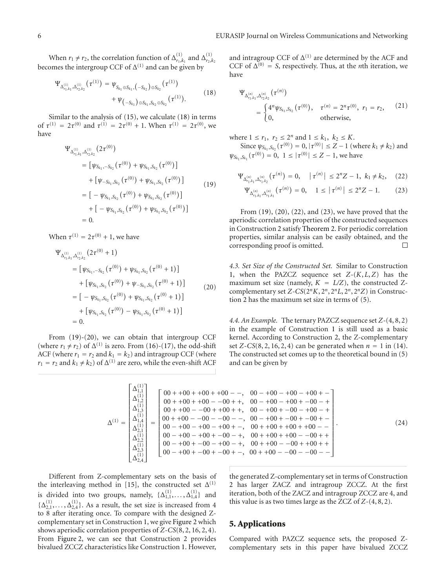When  $r_1 \neq r_2$ , the correlation function of  $\Delta^{(1)}_{r_1,k_1}$  and  $\Delta^{(1)}_{r_2,k_2}$ becomes the intergroup CCF of  $\Delta^{(1)}$  and can be given by

$$
\Psi_{\Delta_{r_1,k_1}^{(1)},\Delta_{r_2,k_2}^{(1)}}(\tau^{(1)}) = \psi_{S_{k_1} \circ S_{k_1},(-S_{k_2}) \circ S_{k_2}}(\tau^{(1)}) + \psi_{(-S_{k_1}) \circ S_{k_1},S_{k_2} \circ S_{k_2}}(\tau^{(1)}).
$$
\n(18)

Similar to the analysis of (15), we calculate (18) in terms of  $\tau^{(1)} = 2\tau^{(0)}$  and  $\tau^{(1)} = 2\tau^{(0)} + 1$ . When  $\tau^{(1)} = 2\tau^{(0)}$ , we have

$$
\Psi_{\Delta_{r_1,k_1}^{(1)},\Delta_{r_2,k_2}^{(1)}}(2\tau^{(0)})
$$
\n
$$
= [\psi_{S_{k_1},-S_{k_2}}(\tau^{(0)}) + \psi_{S_{k_1},S_{k_2}}(\tau^{(0)})]
$$
\n
$$
+ [\psi_{-S_{k_1},S_{k_2}}(\tau^{(0)}) + \psi_{S_{k_1},S_{k_2}}(\tau^{(0)})]
$$
\n
$$
= [-\psi_{S_{k_1},S_{k_2}}(\tau^{(0)}) + \psi_{S_{k_1},S_{k_2}}(\tau^{(0)})]
$$
\n
$$
+ [-\psi_{S_{k_1},S_{k_2}}(\tau^{(0)}) + \psi_{S_{k_1},S_{k_2}}(\tau^{(0)})]
$$
\n
$$
= 0.
$$
\n(19)

When  $\tau^{(1)} = 2\tau^{(0)} + 1$ , we have

$$
\Psi_{\Delta_{r_1,k_1}^{(1)},\Delta_{r_2,k_2}^{(1)}}(2\tau^{(0)}+1)
$$
\n
$$
= [\psi_{S_{k_1},-S_{k_2}}(\tau^{(0)}) + \psi_{S_{k_1},S_{k_2}}(\tau^{(0)}+1)]
$$
\n
$$
+ [\psi_{S_{k_1},S_{k_2}}(\tau^{(0)}) + \psi_{-S_{k_1},S_{k_2}}(\tau^{(0)}+1)]
$$
\n
$$
= [-\psi_{S_{k_1},S_{k_2}}(\tau^{(0)}) + \psi_{S_{k_1},S_{k_2}}(\tau^{(0)}+1)]
$$
\n
$$
+ [\psi_{S_{k_1},S_{k_2}}(\tau^{(0)}) - \psi_{S_{k_1},S_{k_2}}(\tau^{(0)}+1)]
$$
\n
$$
= 0.
$$
\n(20)

From (19)-(20), we can obtain that intergroup CCF (where  $r_1 \neq r_2$ ) of  $\Delta^{(1)}$  is zero. From (16)-(17), the odd-shift ACF (where  $r_1 = r_2$  and  $k_1 = k_2$ ) and intragroup CCF (where  $r_1 = r_2$  and  $k_1 \neq k_2$ ) of  $\Delta^{(1)}$  are zero, while the even-shift ACF and intragroup CCF of  $\Delta^{(1)}$  are determined by the ACF and CCF of  $\Delta^{(0)} = S$ , respectively. Thus, at the *n*th iteration, we have

$$
\Psi_{\Delta_{r_1,k_1,\Delta_{r_2,k_2}}^{(n)}(\tau^{(n)})} = \begin{cases} 4^n \psi_{S_{k_1},S_{k_2}}(\tau^{(0)}), & \tau^{(n)} = 2^n \tau^{(0)}, r_1 = r_2, \\ 0, & \text{otherwise}, \end{cases}
$$
 (21)

where  $1 \le r_1$ ,  $r_2 \le 2^n$  and  $1 \le k_1$ ,  $k_2 \le K$ .

Since  $\psi_{S_{k_1},S_{k_2}}(\tau^{(0)}) = 0, |\tau^{(0)}| \le Z - 1$  (where  $k_1 \neq k_2$ ) and  $\psi_{S_k, S_k}(\tau^{(0)}) = 0, 1 \leq |\tau^{(0)}| \leq Z - 1$ , we have

$$
\Psi_{\Delta_{r_1,k_1}^{(n)},\Delta_{r_1,k_2}^{(n)}}(\tau^{(n)})=0, \quad |\tau^{(n)}| \le 2^n Z-1, \ k_1 \ne k_2, \quad (22)
$$

$$
\Psi_{\Delta_{r_1,k_1}^{(n)},\Delta_{r_1,k_1}^{(n)}}(\tau^{(n)})=0, \quad 1 \leq |\tau^{(n)}| \leq 2^n Z-1. \tag{23}
$$

From (19), (20), (22), and (23), we have proved that the aperiodic correlation properties of the constructed sequences in Construction 2 satisfy Theorem 2. For periodic correlation properties, similar analysis can be easily obtained, and the corresponding proof is omitted.  $\Box$ 

*4.3. Set Size of the Constructed Set.* Similar to Construction 1, when the PAZCZ sequence set *Z*-(*K*, *L*, *Z*) has the maximum set size (namely,  $K = L/Z$ ), the constructed Zcomplementary set *Z*-*CS*(2*nK*, 2*<sup>n</sup>*, 2*nL*, 2*<sup>n</sup>*, 2*nZ*) in Construction 2 has the maximum set size in terms of (5).

*4.4. An Example.* The ternary PAZCZ sequence set *Z*-(4, 8, 2) in the example of Construction 1 is still used as a basic kernel. According to Construction 2, the Z-complementary set *Z*-*CS*(8, 2, 16, 2, 4) can be generated when  $n = 1$  in (14). The constructed set comes up to the theoretical bound in (5) and can be given by

Δ(1) <sup>=</sup> ⎡ Δ(1) ⎤ ⎢ ⎢ ⎢ ⎢ ⎢ ⎢ ⎢ ⎢ ⎢ ⎢ ⎢ ⎢ ⎢ ⎢ ⎢ ⎣ 1,1 Δ(1) 1,2 Δ(1) 1,3 Δ(1) 1,4 Δ(1) 2,1 Δ(1) 2,2 Δ(1) 2,3 Δ(1) 2,4 ⎥ ⎥ ⎥ ⎥ ⎥ ⎥ ⎥ ⎥ ⎥ ⎥ ⎥ ⎥ ⎥ ⎥ ⎥ ⎦ = ⎡ ⎢ ⎢ ⎢ ⎢ ⎢ ⎢ ⎢ ⎢ ⎢ ⎢ ⎢ ⎢ ⎣ 00 + +00 + +00 + +00 − −, 00 − +00 − +00 − +00 + − 00 + +00 + +00 − −00 + +, 00 − +00 − +00 + −00 − + 00 + +00 − −00 + +00 + +, 00 − +00 + −00 − +00 − + 00 + +00 − −00 − −00 − −, 00 − +00 + −00 + −00 + − 00 − +00 − +00 − +00 + −, 00 + +00 + +00 + +00 − − 00 − +00 − +00 + −00 − +, 00 + +00 + +00 − −00 + + 00 − +00 + −00 − +00 − +, 00 + +00 − −00 + +00 + + 00 − +00 + −00 + −00 + −, 00 + +00 − −00 − −00 − − ⎤ ⎥ ⎥ ⎥ ⎥ ⎥ ⎥ ⎥ ⎥ ⎥ ⎥ ⎥ ⎥ ⎦ *.* (24)

Different from Z-complementary sets on the basis of the interleaving method in [15], the constructed set  $\Delta^{(1)}$ is divided into two groups, namely,  $\{\Delta_{1,1}^{(1)}, \ldots, \Delta_{1,4}^{(1)}\}$  and  $\{\Delta_{2,1}^{(1)}, \ldots, \Delta_{2,4}^{(1)}\}$ . As a result, the set size is increased from 4 to 8 after iterating once. To compare with the designed Zcomplementary set in Construction 1, we give Figure 2 which shows aperiodic correlation properties of *Z*-*CS*(8, 2, 16, 2, 4). From Figure 2, we can see that Construction 2 provides bivalued ZCCZ characteristics like Construction 1. However,

the generated Z-complementary set in terms of Construction 2 has larger ZACZ and intragroup ZCCZ. At the first iteration, both of the ZACZ and intragroup ZCCZ are 4, and this value is as two times large as the ZCZ of *Z*-(4, 8, 2).

## **5. Applications**

Compared with PAZCZ sequence sets, the proposed Zcomplementary sets in this paper have bivalued ZCCZ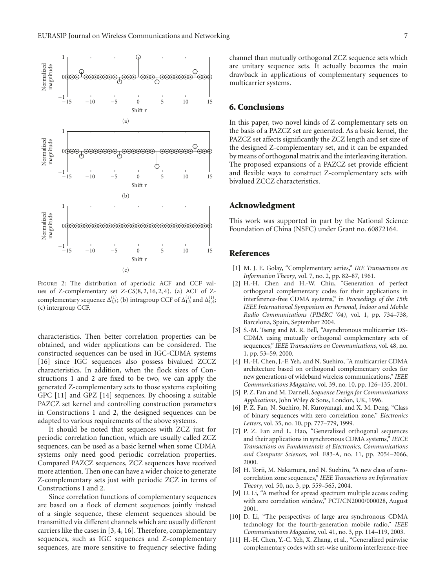

Figure 2: The distribution of aperiodic ACF and CCF values of Z-complementary set *Z*-*CS*(8, 2, 16, 2, 4). (a) ACF of Zcomplementary sequence  $\Delta_{1,3}^{(1)}$ ; (b) intragroup CCF of  $\Delta_{1,3}^{(1)}$  and  $\Delta_{1,4}^{(1)}$ ; (c) intergroup CCF.

characteristics. Then better correlation properties can be obtained, and wider applications can be considered. The constructed sequences can be used in IGC-CDMA systems [16] since IGC sequences also possess bivalued ZCCZ characteristics. In addition, when the flock sizes of Constructions 1 and 2 are fixed to be two, we can apply the generated Z-complementary sets to those systems exploiting GPC [11] and GPZ [14] sequences. By choosing a suitable PAZCZ set kernel and controlling construction parameters in Constructions 1 and 2, the designed sequences can be adapted to various requirements of the above systems.

It should be noted that sequences with ZCZ just for periodic correlation function, which are usually called ZCZ sequences, can be used as a basic kernel when some CDMA systems only need good periodic correlation properties. Compared PAZCZ sequences, ZCZ sequences have received more attention. Then one can have a wider choice to generate Z-complementary sets just with periodic ZCZ in terms of Constructions 1 and 2.

Since correlation functions of complementary sequences are based on a flock of element sequences jointly instead of a single sequence, these element sequences should be transmitted via different channels which are usually different carriers like the cases in [3, 4, 16]. Therefore, complementary sequences, such as IGC sequences and Z-complementary sequences, are more sensitive to frequency selective fading channel than mutually orthogonal ZCZ sequence sets which are unitary sequence sets. It actually becomes the main drawback in applications of complementary sequences to multicarrier systems.

### **6. Conclusions**

In this paper, two novel kinds of Z-complementary sets on the basis of a PAZCZ set are generated. As a basic kernel, the PAZCZ set affects significantly the ZCZ length and set size of the designed Z-complementary set, and it can be expanded by means of orthogonal matrix and the interleaving iteration. The proposed expansions of a PAZCZ set provide efficient and flexible ways to construct Z-complementary sets with bivalued ZCCZ characteristics.

#### **Acknowledgment**

This work was supported in part by the National Science Foundation of China (NSFC) under Grant no. 60872164.

### **References**

- [1] M. J. E. Golay, "Complementary series," *IRE Transactions on Information Theory*, vol. 7, no. 2, pp. 82–87, 1961.
- [2] H.-H. Chen and H.-W. Chiu, "Generation of perfect orthogonal complementary codes for their applications in interference-free CDMA systems," in *Proceedings of the 15th IEEE International Symposium on Personal, Indoor and Mobile Radio Communications (PIMRC '04)*, vol. 1, pp. 734–738, Barcelona, Spain, September 2004.
- [3] S.-M. Tseng and M. R. Bell, "Asynchronous multicarrier DS-CDMA using mutually orthogonal complementary sets of sequences," *IEEE Transactions on Communications*, vol. 48, no. 1, pp. 53–59, 2000.
- [4] H.-H. Chen, J.-F. Yeh, and N. Suehiro, "A multicarrier CDMA architecture based on orthogonal complementary codes for new generations of wideband wireless communications," *IEEE Communications Magazine*, vol. 39, no. 10, pp. 126–135, 2001.
- [5] P. Z. Fan and M. Darnell, *Sequence Design for Communications Applications*, John Wiley & Sons, London, UK, 1996.
- [6] P. Z. Fan, N. Suehiro, N. Kuroyanagi, and X. M. Deng, "Class of binary sequences with zero correlation zone," *Electronics Letters*, vol. 35, no. 10, pp. 777–779, 1999.
- [7] P. Z. Fan and L. Hao, "Generalized orthogonal sequences and their applications in synchronous CDMA systems," *IEICE Transactions on Fundamentals of Electronics, Communications and Computer Sciences*, vol. E83-A, no. 11, pp. 2054–2066, 2000.
- [8] H. Torii, M. Nakamura, and N. Suehiro, "A new class of zerocorrelation zone sequences," *IEEE Transactions on Information Theory*, vol. 50, no. 3, pp. 559–565, 2004.
- [9] D. Li, "A method for spread spectrum multiple access coding with zero correlation window," PCT/CN2000/000028, August 2001.
- [10] D. Li, "The perspectives of large area synchronous CDMA technology for the fourth-generation mobile radio," *IEEE Communications Magazine*, vol. 41, no. 3, pp. 114–119, 2003.
- [11] H.-H. Chen, Y.-C. Yeh, X. Zhang, et al., "Generalized pairwise complementary codes with set-wise uniform interference-free